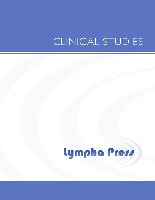## CLINICAL STUDIES

# Lympha Press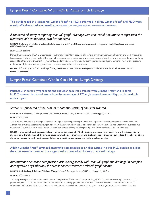This randomized trial compared Lympha Press® to MLD performed in-clinic. Lympha Press® and MLD were equally effective at reducing swelling. (Study funded by research grants from the Cancer Foundation of Sweden)

## *A randomized study comparing manual lymph drainage with sequential pneumatic compression for treatment of postoperative arm lymphedema.*

PUBLICATION: K. Johansson, E. Lie, C. Ekdahl, J. Lindfelt. Department of Physical Therapy and Department of Surgery, University Hospital, Lund, Sweden. *,* (1998) *Lymphology, 31*, 56-64.

#### STUDY SIZE: 28 patients

Manual lymph drainage (MLD) was compared with Lympha Press® for treatment of unilateral arm lymphedema in 28 women previously treated for breast cancer. Following two weeks of therapy with a standard compression sleeve with maintenance of steady arm volume, patients were randomly assigned to either of two treatment regimens (MLD performed according to Vodder technique for 45 min/day, and Lympha Press® with a pressure of 40-60 mmHg for two hours/day). Both treatments were carried out for two weeks.

#### RESULTS: MLD and Lympha Press® each significantly decreased arm volume but no significant difference was detected between the two treatment methods.

## Lympha Press® Combined With In-Clinic Manual Lymph Drainage

Patients with severe lymphedema and shoulder pain were treated with Lympha Press<sup>®</sup> and in-clinic MLD. Treatment decreased arm volume by an average of 170 ml, improved arm mobility and dramatically reduced pain.

## *Severe lymphedema of the arm as a potential cause of shoulder trauma.*

#### PUBLICATION: R. Avrahami, E. Gabbay, B. Bsharah, M. Haddad, A. Koren, J. Dahn, A. Zelikovski. (2004) *Lymphology, 37*, 202-205.

STUDY SIZE: 10 patients

This study assessed the role of lymphatic physical therapy in reducing disabling shoulder pain in patients with lymphedema of the shoulder. Ten women with arm lymphedema after surgery for breast cancer were examined. All had shoulder pain. Five patients had a tear in the supraspinatus muscle and five had chronic bursitis. Treatment consisted of manual lymph drainage and pneumatic compression with Lympha Press®.

RESULTS: The combined treatment reduced arm volume by an average of 170 ml, with improvement of arm mobility and a drastic reduction in shoulder pain. Lymphedema of the arm can cause severe shoulder trauma, pain and disability. Proper treatment can reduce these effects. Patients should be referred for early treatment and follow-up to avoid permanent damage to the shoulder muscles.

Adding Lympha Press® advanced pneumatic compression to an abbreviated in-clinic MLD session provided the same treatment results as a longer session devoted exclusively to manual therapy.

## *Intermittent pneumatic compression acts synergistically with manual lymphatic drainage in complex decongestive physiotherapy for breast cancer treatment-related lymphedema.*

PUBLICATION: G. Szolnoky, B. Lakatos, T. Keskeny, E. Varga, M. Varga, A. Dobozy, L. Kemény. (2009) *Lymphology, 42,* 188-194.

#### STUDY SIZE: 27 patients

This study investigated whether the combination of Lympha Press® with manual lymph drainage (MLD) could improve complete decongestive physiotherapy (CDT) treatment outcomes in women with secondary lymphedema after breast cancer treatment. A randomized study was undertaken with 13 subjects receiving MLD (60 min) and 14 receiving MLD (30 min) plus Lympha Press® (30 min) followed by standardized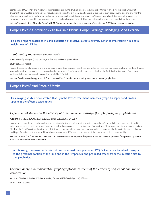components of CDT including multilayered compression bandaging, physical exercise, and skin care 10 times in a two-week-period. Efficacy of treatment was evaluated by limb volume reduction and a subjective symptom questionnaire at the end of the treatment, and one and two months after beginning treatment. The two groups had similar demographic and clinical characteristics. Although a significant decrease in the subjective symptom survey was found for both groups compared to baseline, no significant difference between the groups was found at any time point.

RESULTS:The application of Lympha Press® with MLD provides a synergistic enhancement of the effect of CDT in arm volume reduction.

## Lympha Press® Combined With In-Clinic Manual Lymph Drainage, Bandaging, And Exercise

This case report describes in-clinic reduction of massive lower extremity lymphedema resulting in a total weight loss of 179 lbs.

## *Treatment of monstrous elephantiasis.*

PUBLICATION: F-J Schingale, (1999) *Lymphlogie in Forschung und Praxis*, Special edition.

#### STUDY SIZE: Case report

Inpatient treatment of a young primary lymphedema patient is described. Patient was bedridden for years due to massive swelling of her legs. Therapy was performed with manual lymph drainage, bandaging, Lympha Press®, and guided exercise in the Lympho-Opt Klinik in Germany. Patient was discharged after six months with a reduction of 81.2 kg (179 lbs).

RESULTS: Combination therapy with MLD and Lympha Press® is effective in treating an extreme case of lymphedema.

## Lympha Press® And Protein Uptake

This imaging study demonstrated that Lympha Press® treatment increases lymph transport and protein uptake in the affected extremities.

## *Experimental studies on the efficacy of pressure wave massage (Lymphapress) in lymphedema.*

#### PUBLICATION: H. Partsch, A. Mostbeck, G. Leitner. (1981) *Z. Lymphology,* 5(1), 35-9.

Isotopic lymphography was performed on several patients before and after treatment with Lympha Press®. Labeled albumen was also injected to determine speed and extent of protein transport. Limb volume was measured before and after treatment. There was a significant volume reduction. The Lympha Press® was tested against the Jobst single cell pump, and the tracer was transported much more rapidly than with the single cell pump, peaking at five minutes of treatment. Tissue albumen was reduced. The water component of the edema was reduced more rapidly.

RESULTS: Lympha Press® sequential pneumatic compression treatment improves lymph transport and removes proteins. Compression garments should be worn in between treatments.

In this study, treatment with intermittent pneumatic compression (IPC) facilitated radiocolloid transport to the proximal portion of the limb and in the lymphatics, and propelled tracer from the injection site to the lymphatics.

## *Factorial analysis in radionuclide lymphography: assessment of the effects of sequential pneumatic compression.*

AUTHORS: F. Baulieu, JL. Baulieu, L. Vaillant, V. Secchi, J. Barsotti. (1989) *Lymphology,* 22(4), 178-185.

STUDY SIZE: 12 patients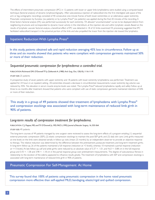The effects of intermittent pneumatic compression (IPC) in 12 patients with lower or upper limb lymphedema were studied using a computer-based technique (factorial analysis) of dynamic lymphoscintigraphy. After subcutaneous injection of radiocolloid into the first interdigital web space of the arm or leg, scintigraphic recordings consisted of 40 consecutive one-minute frames of both lower extremities or an edematous upper extremity. Pneumatic compression by Euroduc (six patients) or by Lympha Press® (six patients) was applied during the final 20 minutes of the recording. A three factors factorial analysis (FA) was performed successively for each extremity. FA allowed "uncontaminated" curves to be displayed distinct from neighboring structures and corresponded to dynamic tracer activity in the interstitium, at the injection site and within lymphatic vessels. Based on the results of lymphatic vascular factorial analysis, a beneficial effect of IPC was detected in 18 of 22 limbs examined. FA processing suggested that IPC facilitated radiocolloid transport in the proximal portion of the limb and also propelled the tracer from the injection site toward the lymphatics.

## Inpatient Reduction With Lympha Press®

In this study, patients obtained safe and rapid reduction averaging 45% loss in circumference. Follow up at three and six months showed that patients who were compliant with compression garments maintained 50% or more of their reduction.

## *Sequential pneumatic compression for lymphedema: a controlled trial.*

#### PUBLICATION: Richmand DM, O'Donnell TF Jr, Zelikovski A. (1985) *Arch Surg,* Oct, 120(10), 1116-1119.

#### STUDY SIZE: 25 patients

A prospective study of seven patients with upper extremity and 18 patients with lower extremity lymphedema was performed. Treatment was applied for 24 hours in an inpatient setting. All extremities showed a decrease in circumferential measurements. Lower extremity leg volume was reduced by 45%. No elevation in serum muscle enzyme levels was noted. The Lympha Press® reduced lymphedema rapidly and safely. Follow up at three to six months after treatment showed that patients who were compliant with use of static compression garments maintained retention of 50% or more of their reduction.

## This study in a group of 49 patients showed that treatment of lymphedema with Lympha Press® and compression stockings was associated with long-term maintenance of reduced limb girth in 90% of patients.

## *Long-term results of compression treatment for lymphedema.*

#### PUBLICATION: C.J. Pappas, MD, and T.F. O'Donnell Jr., MD, FACS. (1992) *Journal of Vascular Surgery,* 16, 555-564.

#### STUDY SIZE: 49 patients

The long-term courses of 49 patients managed by one surgeon were reviewed to assess the long-term effects of a program entailing (1) sequential external pneumatic compression (SEP), (2) elastic compression stockings to maintain the post-SEP girth, and (3) daily skin care. Limb girths measured at nine levels on the limb were obtained serially in follow-up visits (mean: 25 months) by an independent observer to provide an objective response to therapy. The relative reduction was determined by the difference between the pretreatment, postacute treatment, and long-term treatment girths. In long-term follow-up, 26 of the patients maintained a full response (reduction at >3 levels), whereas 10 maintained a partial response (reduction at <=3 levels). At late follow-up, calf and ankle girths were reduced by an absolute value of 5.37 +- 1.01, and 4.63 +- 0.88 cm in the full-response group and 5.43 +- 1.58 and 3.98 +- 1.18 cm in the partial response group over pretreatment measurements. The degree of subcutaneous fibrosis in relationship to the duration of the edema appeared to influence results greatly. The treatment of lymphedema with SEP and compression stockings is associated with long-term maintenance of reduced limb girth in 90% of patients.

## Pneumatic Compression For Self-Management At Home

This survey found that 100% of patients using pneumatic compression in the home rated pneumatic compression more effective than self-applied MLD, bandaging, elastic/rigid and quilted compression.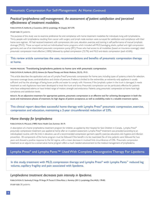## *Practical lymphedema self-management: An assessment of patient satisfaction and perceived effectiveness of treatment modalities.*

#### PUBLICATION: K. Ashforth, J. Cosentino. (2012) *Lymphology,* 45 (Suppl), 367-370.

STUDY SIZE: 30 patients

The purpose of this study was to examine preference for, and compliance with home treatment modalities for individuals living with lymphedema. Thirty people with lymphedema resulting from cancer with surgery and lymph node excision were surveyed for satisfaction and compliance with their home care regimen. All had received treatment with compression, skin care, elevation, exercise and training in self-performance of manual lymphatic drainage (MLD). Those surveyed carried out individualized home programs which included self-MLD, bandaging, elastic, quilted and rigid compression garments, and use of an intermittent pneumatic compression pump (IPC). Those who had access to all modalities (based on insurance coverage) rated pneumatic compression most effective (100%) followed by quilted compression (72.7%) and MLD and elastic compression (each 63.6%).

## This review article summarizes the uses, recommendations and benefits of pneumatic compression therapy at home.

#### PROPER PRESSURE: Transitioning lymphedema patients to home care with pneumatic compression.

#### PUBLICATION: K. Ashforth, (2012) *Advance for Physical Therapy and Rehab Medicine,* 23(15), 19-21.

This article describes the application and use of Lympha Press® pneumatic compression for home care, including types of systems, criteria for selection, insurance coverage issues, contraindications and choice of pressure. If edema is limited to the extremities, an extremity-only appliance is usually sufficient and has the advantage of being lower profile and easier to comply with. However, if the lymphatic system in the trunk is damaged, it needs treatment as well. Appliances have been developed to treat the trunk and torso. Pneumatic compression can be particularly effective for patients who have widespread edema or have limited range of motion, strength and endurance. Patients using pneumatic compression at home have high compliance and satisfaction levels.

RESULTS: As an adjunctive treatment for appropriate patients, pneumatic compression is an effective tool for achieving decongestion in both the acute and maintenance phases of treatment. Its high degree of patient acceptance, as well as availability, make it a valuable treatment option.

## This clinical report describes successful home therapy with Lympha Press® pneumatic compression, exercise, compression and education, maintaining a 2-year circumferential reduction of 23%.

## *Home therapy for lymphedema*

#### PUBLICATION: A. McLeod, (1989) *Home Health Care*, Summer, 18-19.

A description of a home lymphedema treatment program for children, as applied by the Hospital for Sick Children in Canada. Lympha Press® pneumatic compression treatment was applied at home after an in-patient assessment. Lympha Press® treatment was provided according to an individualized routine, with the limb in elevation, use of a recommended compression garment, specific exercise, education, skin hygiene and infection prevention. All components of the home program must be followed if the benefit is to be maximized. Six of nine patients were followed for two years and showed a positive response to the full regime, with a mean decrease in involved limb circumference of 23%. Pneumatic compression treatment as an adjunct to a conservative home program offers a much needed advancement to the medical management of lymphedema.

## Lympha Press® and Lympha Pants<sup>™</sup> Used With Complete Decongestive Therapy For Lipedema

In this study, treatment with MLD, compression therapy and Lympha Press<sup>®</sup> with Lympha Pants<sup>™</sup> reduced leg volume, capillary fragility and pain associated with lipedema.

#### *Lymphedema treatment decreases pain intensity in lipedema.*

PUBLICATION: G. Szolnoky, E. Varga, M. Varga, M. Tuczai, E. Dósa-Rácz, L. Kemény. (2011) *Lymphology,* Dec;44(4), 178-82.

STUDY SIZE: 38 patients